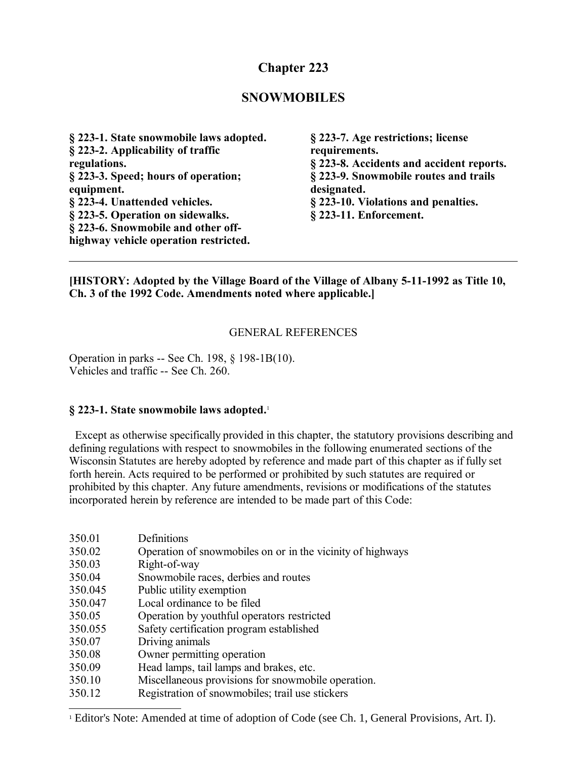# **Chapter 223**

## **SNOWMOBILES**

**§ 223-1. State snowmobile laws adopted. § 223-2. Applicability of traffic regulations. § 223-3. Speed; hours of operation; equipment. § 223-4. Unattended vehicles. § 223-5. Operation on sidewalks. § 223-6. Snowmobile and other offhighway vehicle operation restricted.**

**§ 223-7. Age restrictions; license requirements. § 223-8. Accidents and accident reports. § 223-9. Snowmobile routes and trails designated. § 223-10. Violations and penalties. § 223-11. Enforcement.**

#### **[HISTORY: Adopted by the Village Board of the Village of Albany 5-11-1992 as Title 10, Ch. 3 of the 1992 Code. Amendments noted where applicable.]**

#### GENERAL REFERENCES

Operation in parks -- See Ch. 198, § 198-1B(10). Vehicles and traffic -- See Ch. 260.

#### **§ 223-1. State snowmobile laws adopted.**[1](#page-0-0)

 Except as otherwise specifically provided in this chapter, the statutory provisions describing and defining regulations with respect to snowmobiles in the following enumerated sections of the Wisconsin Statutes are hereby adopted by reference and made part of this chapter as if fully set forth herein. Acts required to be performed or prohibited by such statutes are required or prohibited by this chapter. Any future amendments, revisions or modifications of the statutes incorporated herein by reference are intended to be made part of this Code:

| 350.01  | Definitions                                                |
|---------|------------------------------------------------------------|
| 350.02  | Operation of snowmobiles on or in the vicinity of highways |
| 350.03  | Right-of-way                                               |
| 350.04  | Snowmobile races, derbies and routes                       |
| 350.045 | Public utility exemption                                   |
| 350.047 | Local ordinance to be filed                                |
| 350.05  | Operation by youthful operators restricted                 |
| 350.055 | Safety certification program established                   |
| 350.07  | Driving animals                                            |
| 350.08  | Owner permitting operation                                 |
| 350.09  | Head lamps, tail lamps and brakes, etc.                    |
| 350.10  | Miscellaneous provisions for snowmobile operation.         |
| 350.12  | Registration of snowmobiles; trail use stickers            |

<span id="page-0-0"></span><sup>&</sup>lt;sup>1</sup> Editor's Note: Amended at time of adoption of Code (see Ch. 1, General Provisions, Art. I).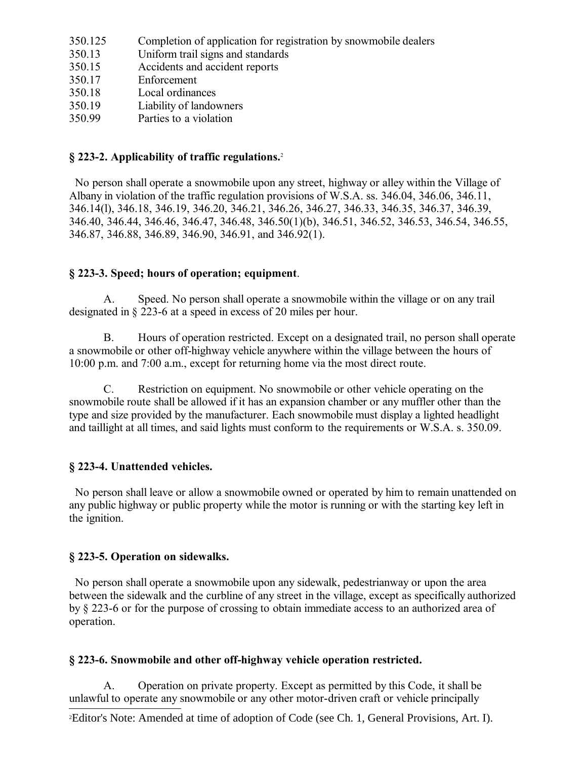| 350.125 |  | Completion of application for registration by snowmobile dealers |  |
|---------|--|------------------------------------------------------------------|--|
|         |  |                                                                  |  |

- 350.13 Uniform trail signs and standards
- 350.15 Accidents and accident reports
- 350.17 Enforcement
- 350.18 Local ordinances
- 350.19 Liability of landowners
- 350.99 Parties to a violation

## **§ 223-2. Applicability of traffic regulations.**[2](#page-1-0)

 No person shall operate a snowmobile upon any street, highway or alley within the Village of Albany in violation of the traffic regulation provisions of W.S.A. ss. 346.04, 346.06, 346.11, 346.14(l), 346.18, 346.19, 346.20, 346.21, 346.26, 346.27, 346.33, 346.35, 346.37, 346.39, 346.40, 346.44, 346.46, 346.47, 346.48, 346.50(1)(b), 346.51, 346.52, 346.53, 346.54, 346.55, 346.87, 346.88, 346.89, 346.90, 346.91, and 346.92(1).

## **§ 223-3. Speed; hours of operation; equipment**.

Speed. No person shall operate a snowmobile within the village or on any trail designated in § 223-6 at a speed in excess of 20 miles per hour.

B. Hours of operation restricted. Except on a designated trail, no person shall operate a snowmobile or other off-highway vehicle anywhere within the village between the hours of 10:00 p.m. and 7:00 a.m., except for returning home via the most direct route.

C. Restriction on equipment. No snowmobile or other vehicle operating on the snowmobile route shall be allowed if it has an expansion chamber or any muffler other than the type and size provided by the manufacturer. Each snowmobile must display a lighted headlight and taillight at all times, and said lights must conform to the requirements or W.S.A. s. 350.09.

## **§ 223-4. Unattended vehicles.**

 No person shall leave or allow a snowmobile owned or operated by him to remain unattended on any public highway or public property while the motor is running or with the starting key left in the ignition.

## **§ 223-5. Operation on sidewalks.**

 No person shall operate a snowmobile upon any sidewalk, pedestrianway or upon the area between the sidewalk and the curbline of any street in the village, except as specifically authorized by § 223-6 or for the purpose of crossing to obtain immediate access to an authorized area of operation.

## **§ 223-6. Snowmobile and other off-highway vehicle operation restricted.**

A. Operation on private property. Except as permitted by this Code, it shall be unlawful to operate any snowmobile or any other motor-driven craft or vehicle principally

<span id="page-1-0"></span>2Editor's Note: Amended at time of adoption of Code (see Ch. 1, General Provisions, Art. I).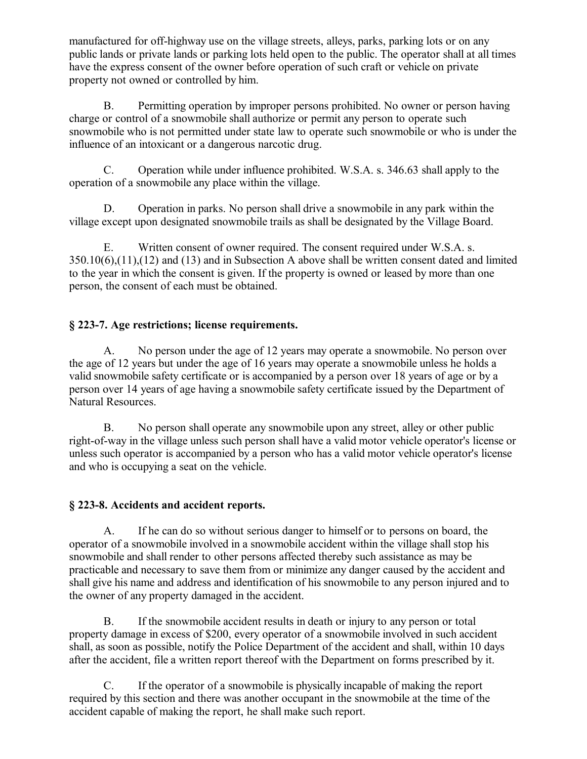manufactured for off-highway use on the village streets, alleys, parks, parking lots or on any public lands or private lands or parking lots held open to the public. The operator shall at all times have the express consent of the owner before operation of such craft or vehicle on private property not owned or controlled by him.

B. Permitting operation by improper persons prohibited. No owner or person having charge or control of a snowmobile shall authorize or permit any person to operate such snowmobile who is not permitted under state law to operate such snowmobile or who is under the influence of an intoxicant or a dangerous narcotic drug.

C. Operation while under influence prohibited. W.S.A. s. 346.63 shall apply to the operation of a snowmobile any place within the village.

D. Operation in parks. No person shall drive a snowmobile in any park within the village except upon designated snowmobile trails as shall be designated by the Village Board.

E. Written consent of owner required. The consent required under W.S.A. s. 350.10(6),(11),(12) and (13) and in Subsection A above shall be written consent dated and limited to the year in which the consent is given. If the property is owned or leased by more than one person, the consent of each must be obtained.

## **§ 223-7. Age restrictions; license requirements.**

A. No person under the age of 12 years may operate a snowmobile. No person over the age of 12 years but under the age of 16 years may operate a snowmobile unless he holds a valid snowmobile safety certificate or is accompanied by a person over 18 years of age or by a person over 14 years of age having a snowmobile safety certificate issued by the Department of Natural Resources.

B. No person shall operate any snowmobile upon any street, alley or other public right-of-way in the village unless such person shall have a valid motor vehicle operator's license or unless such operator is accompanied by a person who has a valid motor vehicle operator's license and who is occupying a seat on the vehicle.

## **§ 223-8. Accidents and accident reports.**

A. If he can do so without serious danger to himself or to persons on board, the operator of a snowmobile involved in a snowmobile accident within the village shall stop his snowmobile and shall render to other persons affected thereby such assistance as may be practicable and necessary to save them from or minimize any danger caused by the accident and shall give his name and address and identification of his snowmobile to any person injured and to the owner of any property damaged in the accident.

B. If the snowmobile accident results in death or injury to any person or total property damage in excess of \$200, every operator of a snowmobile involved in such accident shall, as soon as possible, notify the Police Department of the accident and shall, within 10 days after the accident, file a written report thereof with the Department on forms prescribed by it.

C. If the operator of a snowmobile is physically incapable of making the report required by this section and there was another occupant in the snowmobile at the time of the accident capable of making the report, he shall make such report.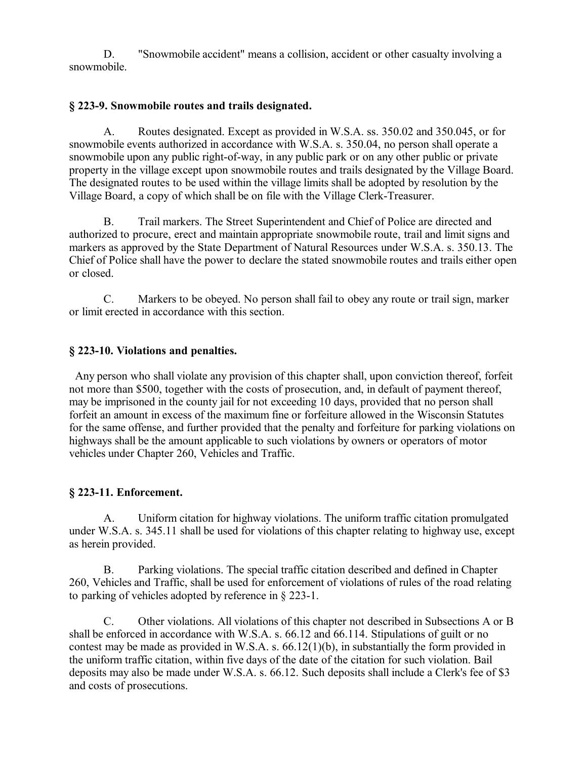D. "Snowmobile accident" means a collision, accident or other casualty involving a snowmobile.

#### **§ 223-9. Snowmobile routes and trails designated.**

A. Routes designated. Except as provided in W.S.A. ss. 350.02 and 350.045, or for snowmobile events authorized in accordance with W.S.A. s. 350.04, no person shall operate a snowmobile upon any public right-of-way, in any public park or on any other public or private property in the village except upon snowmobile routes and trails designated by the Village Board. The designated routes to be used within the village limits shall be adopted by resolution by the Village Board, a copy of which shall be on file with the Village Clerk-Treasurer.

B. Trail markers. The Street Superintendent and Chief of Police are directed and authorized to procure, erect and maintain appropriate snowmobile route, trail and limit signs and markers as approved by the State Department of Natural Resources under W.S.A. s. 350.13. The Chief of Police shall have the power to declare the stated snowmobile routes and trails either open or closed.

C. Markers to be obeyed. No person shall fail to obey any route or trail sign, marker or limit erected in accordance with this section.

#### **§ 223-10. Violations and penalties.**

 Any person who shall violate any provision of this chapter shall, upon conviction thereof, forfeit not more than \$500, together with the costs of prosecution, and, in default of payment thereof, may be imprisoned in the county jail for not exceeding 10 days, provided that no person shall forfeit an amount in excess of the maximum fine or forfeiture allowed in the Wisconsin Statutes for the same offense, and further provided that the penalty and forfeiture for parking violations on highways shall be the amount applicable to such violations by owners or operators of motor vehicles under Chapter 260, Vehicles and Traffic.

#### **§ 223-11. Enforcement.**

A. Uniform citation for highway violations. The uniform traffic citation promulgated under W.S.A. s. 345.11 shall be used for violations of this chapter relating to highway use, except as herein provided.

B. Parking violations. The special traffic citation described and defined in Chapter 260, Vehicles and Traffic, shall be used for enforcement of violations of rules of the road relating to parking of vehicles adopted by reference in § 223-1.

C. Other violations. All violations of this chapter not described in Subsections A or B shall be enforced in accordance with W.S.A. s. 66.12 and 66.114. Stipulations of guilt or no contest may be made as provided in W.S.A. s. 66.12(1)(b), in substantially the form provided in the uniform traffic citation, within five days of the date of the citation for such violation. Bail deposits may also be made under W.S.A. s. 66.12. Such deposits shall include a Clerk's fee of \$3 and costs of prosecutions.